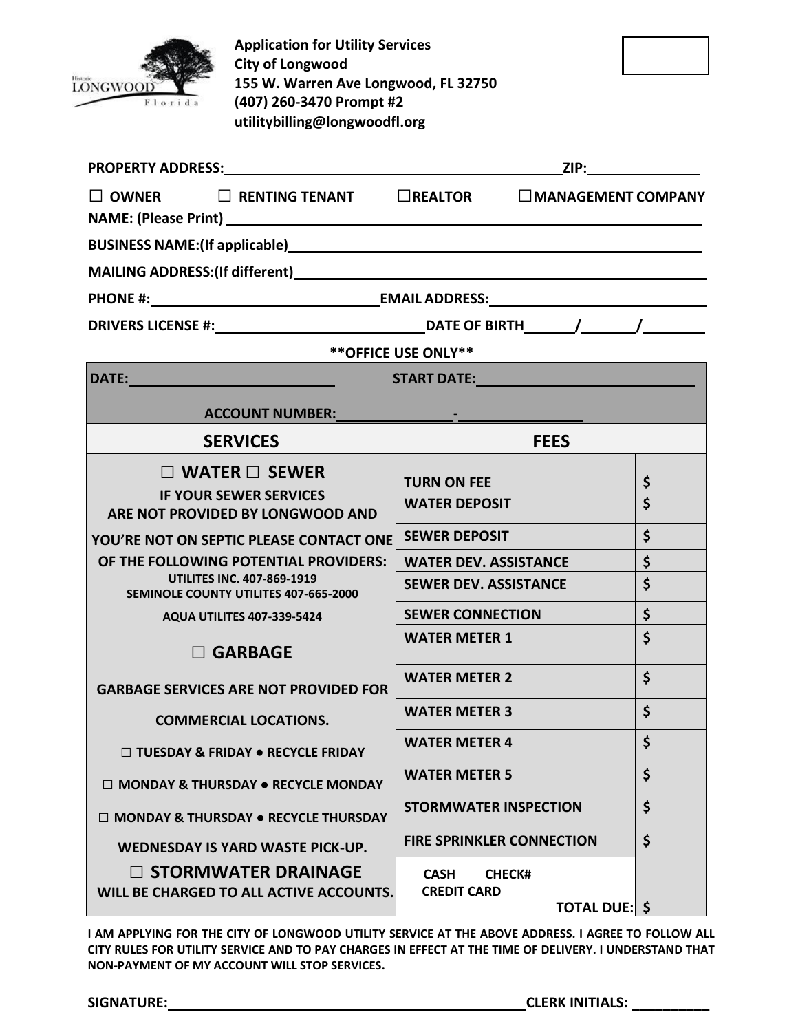

**Application for Utility Services City of Longwood 155 W. Warren Ave Longwood, FL 32750 (407) 260-3470 Prompt #2 utilitybilling@longwoodfl.org**

| $\square$ OWNER $\square$ RENTING TENANT $\square$ REALTOR $\square$ MANAGEMENT COMPANY                                                                                                                                        |                                                                     |                    |  |
|--------------------------------------------------------------------------------------------------------------------------------------------------------------------------------------------------------------------------------|---------------------------------------------------------------------|--------------------|--|
|                                                                                                                                                                                                                                |                                                                     |                    |  |
|                                                                                                                                                                                                                                |                                                                     |                    |  |
|                                                                                                                                                                                                                                |                                                                     |                    |  |
|                                                                                                                                                                                                                                |                                                                     |                    |  |
| ** OFFICE USE ONLY**<br><u> 1989 - Johann Stoff, fransk politik (</u>                                                                                                                                                          |                                                                     |                    |  |
|                                                                                                                                                                                                                                |                                                                     |                    |  |
| ACCOUNT NUMBER: Participants of the contract of the contract of the contract of the contract of the contract of the contract of the contract of the contract of the contract of the contract of the contract of the contract o |                                                                     |                    |  |
| <b>SERVICES</b>                                                                                                                                                                                                                | <b>FEES</b>                                                         |                    |  |
| $\Box$ WATER $\Box$ SEWER                                                                                                                                                                                                      | <b>TURN ON FEE</b>                                                  | \$                 |  |
| <b>IF YOUR SEWER SERVICES</b><br>ARE NOT PROVIDED BY LONGWOOD AND                                                                                                                                                              | <b>WATER DEPOSIT</b>                                                | $\dot{\mathsf{S}}$ |  |
| YOU'RE NOT ON SEPTIC PLEASE CONTACT ONE                                                                                                                                                                                        | <b>SEWER DEPOSIT</b>                                                | \$                 |  |
| OF THE FOLLOWING POTENTIAL PROVIDERS:                                                                                                                                                                                          | <b>WATER DEV. ASSISTANCE</b>                                        | \$                 |  |
| <b>UTILITES INC. 407-869-1919</b><br>SEMINOLE COUNTY UTILITES 407-665-2000                                                                                                                                                     | <b>SEWER DEV. ASSISTANCE</b>                                        | $\dot{\mathsf{S}}$ |  |
| <b>AQUA UTILITES 407-339-5424</b>                                                                                                                                                                                              | <b>SEWER CONNECTION</b>                                             | \$                 |  |
| $\square$ GARBAGE                                                                                                                                                                                                              | <b>WATER METER 1</b>                                                | \$                 |  |
| <b>GARBAGE SERVICES ARE NOT PROVIDED FOR</b>                                                                                                                                                                                   | <b>WATER METER 2</b>                                                | $\dot{\mathsf{S}}$ |  |
| <b>COMMERCIAL LOCATIONS.</b>                                                                                                                                                                                                   | <b>WATER METER 3</b>                                                | \$                 |  |
| $\Box$ TUESDAY & FRIDAY $\bullet$ RECYCLE FRIDAY                                                                                                                                                                               | <b>WATER METER 4</b>                                                | $\zeta$            |  |
| $\Box$ MONDAY & THURSDAY $\bullet$ RECYCLE MONDAY                                                                                                                                                                              | <b>WATER METER 5</b>                                                | \$                 |  |
| $\Box$ MONDAY & THURSDAY $\bullet$ RECYCLE THURSDAY                                                                                                                                                                            | <b>STORMWATER INSPECTION</b>                                        | $\dot{\mathsf{S}}$ |  |
| <b>WEDNESDAY IS YARD WASTE PICK-UP.</b>                                                                                                                                                                                        | <b>FIRE SPRINKLER CONNECTION</b>                                    | \$                 |  |
| $\square$ STORMWATER DRAINAGE<br>WILL BE CHARGED TO ALL ACTIVE ACCOUNTS.                                                                                                                                                       | <b>CASH</b><br><b>CHECK#</b><br><b>CREDIT CARD</b><br>TOTAL DUE: \$ |                    |  |

**I AM APPLYING FOR THE CITY OF LONGWOOD UTILITY SERVICE AT THE ABOVE ADDRESS. I AGREE TO FOLLOW ALL CITY RULES FOR UTILITY SERVICE AND TO PAY CHARGES IN EFFECT AT THE TIME OF DELIVERY. I UNDERSTAND THAT NON-PAYMENT OF MY ACCOUNT WILL STOP SERVICES.**

**\_\_\_\_\_\_\_\_\_\_ SIGNATURE: CLERK INITIALS:**